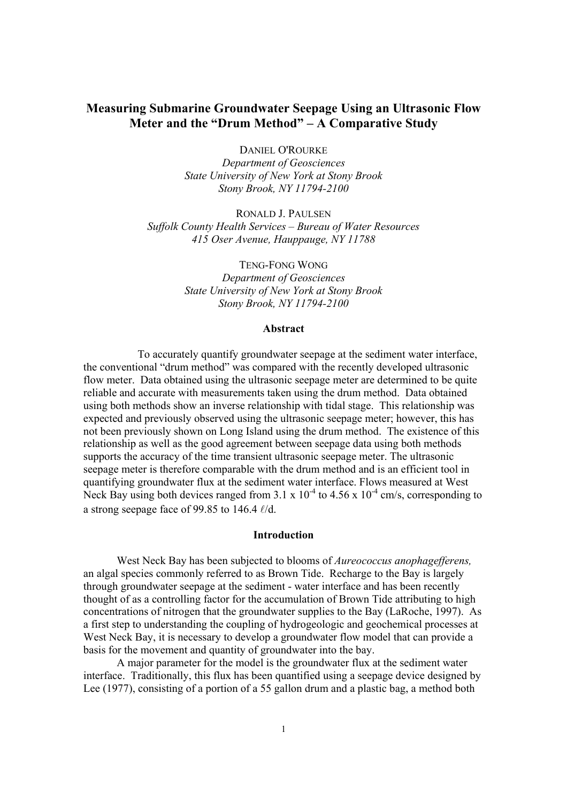# **Measuring Submarine Groundwater Seepage Using an Ultrasonic Flow Meter and the "Drum Method" – A Comparative Study**

DANIEL O'ROURKE *Department of Geosciences* 

*State University of New York at Stony Brook Stony Brook, NY 11794-2100*

RONALD J. PAULSEN *Suffolk County Health Services – Bureau of Water Resources 415 Oser Avenue, Hauppauge, NY 11788* 

> TENG-FONG WONG *Department of Geosciences State University of New York at Stony Brook Stony Brook, NY 11794-2100*

# **Abstract**

 To accurately quantify groundwater seepage at the sediment water interface, the conventional "drum method" was compared with the recently developed ultrasonic flow meter. Data obtained using the ultrasonic seepage meter are determined to be quite reliable and accurate with measurements taken using the drum method. Data obtained using both methods show an inverse relationship with tidal stage. This relationship was expected and previously observed using the ultrasonic seepage meter; however, this has not been previously shown on Long Island using the drum method. The existence of this relationship as well as the good agreement between seepage data using both methods supports the accuracy of the time transient ultrasonic seepage meter. The ultrasonic seepage meter is therefore comparable with the drum method and is an efficient tool in quantifying groundwater flux at the sediment water interface. Flows measured at West Neck Bay using both devices ranged from  $3.1 \times 10^{-4}$  to  $4.56 \times 10^{-4}$  cm/s, corresponding to a strong seepage face of 99.85 to 146.4  $\ell$ /d.

#### **Introduction**

West Neck Bay has been subjected to blooms of *Aureococcus anophagefferens,*  an algal species commonly referred to as Brown Tide. Recharge to the Bay is largely through groundwater seepage at the sediment - water interface and has been recently thought of as a controlling factor for the accumulation of Brown Tide attributing to high concentrations of nitrogen that the groundwater supplies to the Bay (LaRoche, 1997). As a first step to understanding the coupling of hydrogeologic and geochemical processes at West Neck Bay, it is necessary to develop a groundwater flow model that can provide a basis for the movement and quantity of groundwater into the bay.

A major parameter for the model is the groundwater flux at the sediment water interface. Traditionally, this flux has been quantified using a seepage device designed by Lee (1977), consisting of a portion of a 55 gallon drum and a plastic bag, a method both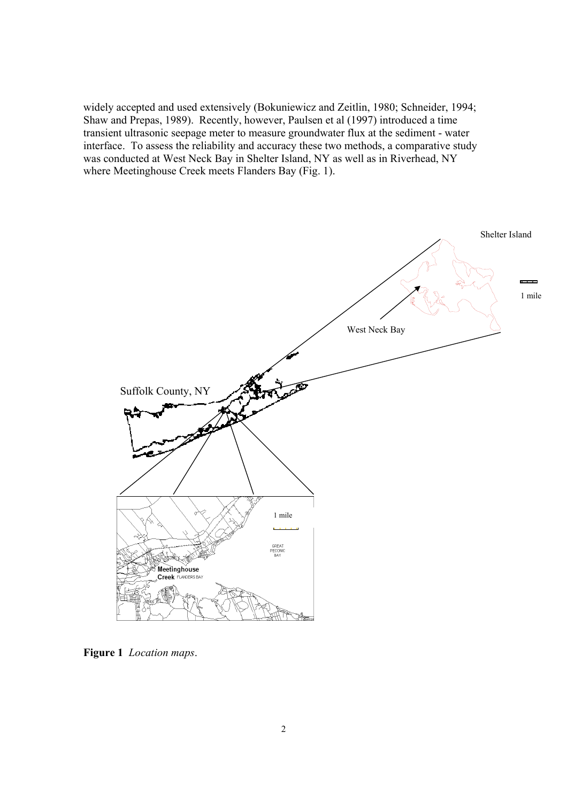widely accepted and used extensively (Bokuniewicz and Zeitlin, 1980; Schneider, 1994; Shaw and Prepas, 1989). Recently, however, Paulsen et al (1997) introduced a time transient ultrasonic seepage meter to measure groundwater flux at the sediment - water interface. To assess the reliability and accuracy these two methods, a comparative study was conducted at West Neck Bay in Shelter Island, NY as well as in Riverhead, NY where Meetinghouse Creek meets Flanders Bay (Fig. 1).



**Figure 1** *Location maps*.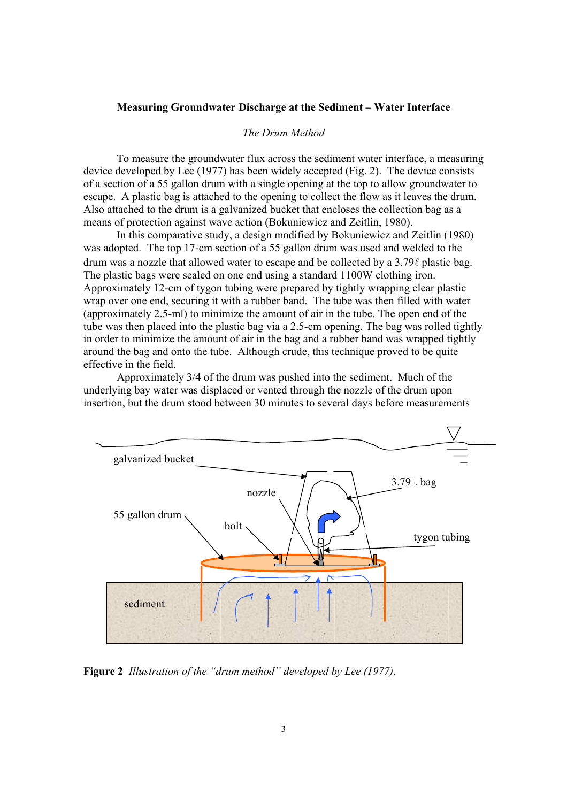#### **Measuring Groundwater Discharge at the Sediment – Water Interface**

#### *The Drum Method*

 To measure the groundwater flux across the sediment water interface, a measuring device developed by Lee (1977) has been widely accepted (Fig. 2). The device consists of a section of a 55 gallon drum with a single opening at the top to allow groundwater to escape. A plastic bag is attached to the opening to collect the flow as it leaves the drum. Also attached to the drum is a galvanized bucket that encloses the collection bag as a means of protection against wave action (Bokuniewicz and Zeitlin, 1980).

 In this comparative study, a design modified by Bokuniewicz and Zeitlin (1980) was adopted. The top 17-cm section of a 55 gallon drum was used and welded to the drum was a nozzle that allowed water to escape and be collected by a  $3.79\ell$  plastic bag. The plastic bags were sealed on one end using a standard 1100W clothing iron. Approximately 12-cm of tygon tubing were prepared by tightly wrapping clear plastic wrap over one end, securing it with a rubber band. The tube was then filled with water (approximately 2.5-ml) to minimize the amount of air in the tube. The open end of the tube was then placed into the plastic bag via a 2.5-cm opening. The bag was rolled tightly in order to minimize the amount of air in the bag and a rubber band was wrapped tightly around the bag and onto the tube. Although crude, this technique proved to be quite effective in the field.

 Approximately 3/4 of the drum was pushed into the sediment. Much of the underlying bay water was displaced or vented through the nozzle of the drum upon insertion, but the drum stood between 30 minutes to several days before measurements



**Figure 2** *Illustration of the "drum method" developed by Lee (1977)*.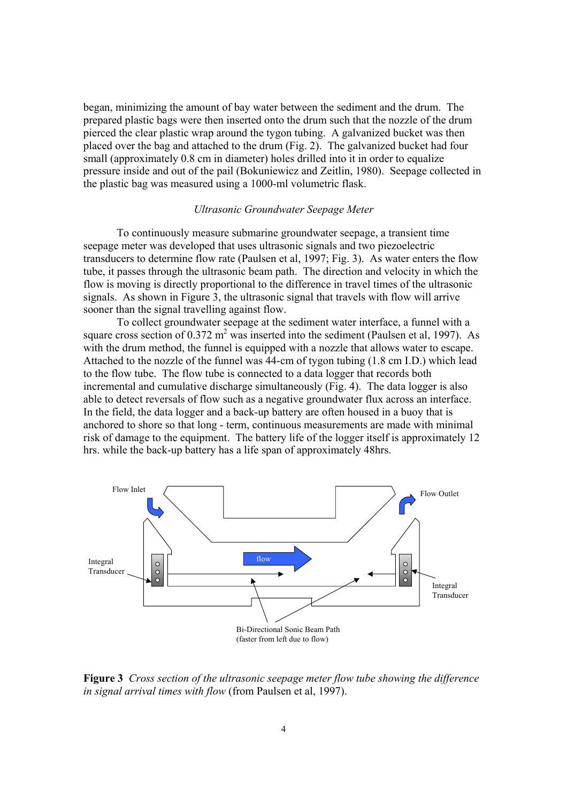began, minimizing the amount of bay water between the sediment and the drum. The prepared plastic bags were then inserted onto the drum such that the nozzle of the drum pierced the clear plastic wrap around the tygon tubing. A galvanized bucket was then placed over the bag and attached to the drum (Fig. 2). The galvanized bucket had four small (approximately 0.8 cm in diameter) holes drilled into it in order to equalize pressure inside and out of the pail (Bokuniewicz and Zeitlin, 1980). Seepage collected in the plastic bag was measured using a 1000-ml volumetric flask.

# *Ultrasonic Groundwater Seepage Meter*

To continuously measure submarine groundwater seepage, a transient time seepage meter was developed that uses ultrasonic signals and two piezoelectric transducers to determine flow rate (Paulsen et al, 1997; Fig. 3). As water enters the flow tube, it passes through the ultrasonic beam path. The direction and velocity in which the flow is moving is directly proportional to the difference in travel times of the ultrasonic signals. As shown in Figure 3, the ultrasonic signal that travels with flow will arrive sooner than the signal travelling against flow.

To collect groundwater seepage at the sediment water interface, a funnel with a square cross section of  $0.372 \text{ m}^2$  was inserted into the sediment (Paulsen et al, 1997). As with the drum method, the funnel is equipped with a nozzle that allows water to escape. Attached to the nozzle of the funnel was 44-cm of tygon tubing (1.8 cm I.D.) which lead to the flow tube. The flow tube is connected to a data logger that records both incremental and cumulative discharge simultaneously (Fig. 4). The data logger is also able to detect reversals of flow such as a negative groundwater flux across an interface. In the field, the data logger and a back-up battery are often housed in a buoy that is anchored to shore so that long - term, continuous measurements are made with minimal risk of damage to the equipment. The battery life of the logger itself is approximately 12 hrs. while the back-up battery has a life span of approximately 48hrs.



**Figure 3** *Cross section of the ultrasonic seepage meter flow tube showing the difference in signal arrival times with flow* (from Paulsen et al, 1997).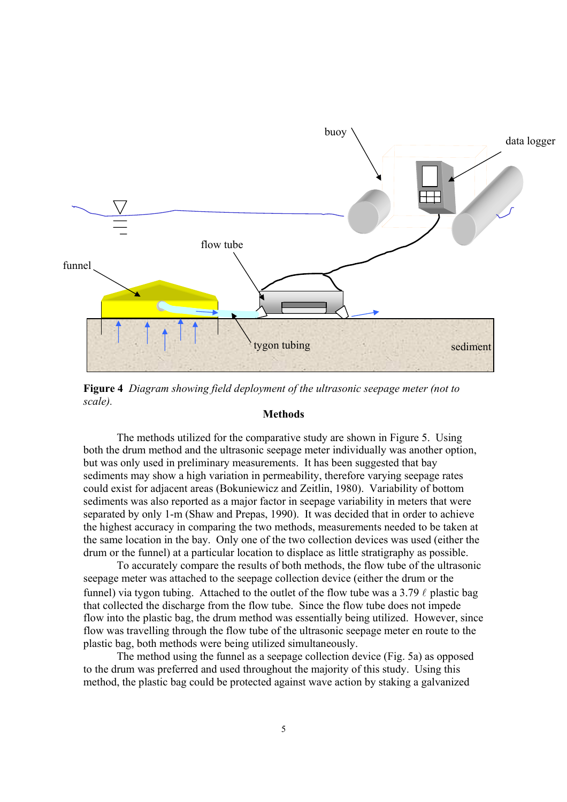

**Figure 4** *Diagram showing field deployment of the ultrasonic seepage meter (not to scale).* 

#### **Methods**

 The methods utilized for the comparative study are shown in Figure 5. Using both the drum method and the ultrasonic seepage meter individually was another option, but was only used in preliminary measurements. It has been suggested that bay sediments may show a high variation in permeability, therefore varying seepage rates could exist for adjacent areas (Bokuniewicz and Zeitlin, 1980). Variability of bottom sediments was also reported as a major factor in seepage variability in meters that were separated by only 1-m (Shaw and Prepas, 1990). It was decided that in order to achieve the highest accuracy in comparing the two methods, measurements needed to be taken at the same location in the bay. Only one of the two collection devices was used (either the drum or the funnel) at a particular location to displace as little stratigraphy as possible.

 To accurately compare the results of both methods, the flow tube of the ultrasonic seepage meter was attached to the seepage collection device (either the drum or the funnel) via tygon tubing. Attached to the outlet of the flow tube was a 3.79  $\ell$  plastic bag that collected the discharge from the flow tube. Since the flow tube does not impede flow into the plastic bag, the drum method was essentially being utilized. However, since flow was travelling through the flow tube of the ultrasonic seepage meter en route to the plastic bag, both methods were being utilized simultaneously.

 The method using the funnel as a seepage collection device (Fig. 5a) as opposed to the drum was preferred and used throughout the majority of this study. Using this method, the plastic bag could be protected against wave action by staking a galvanized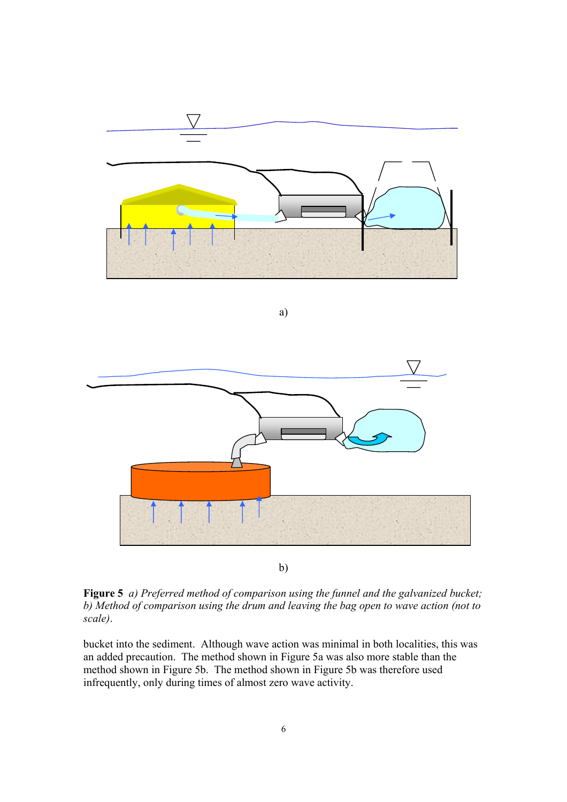

b)

**Figure 5** *a) Preferred method of comparison using the funnel and the galvanized bucket; b) Method of comparison using the drum and leaving the bag open to wave action (not to scale)*.

bucket into the sediment. Although wave action was minimal in both localities, this was an added precaution. The method shown in Figure 5a was also more stable than the method shown in Figure 5b. The method shown in Figure 5b was therefore used infrequently, only during times of almost zero wave activity.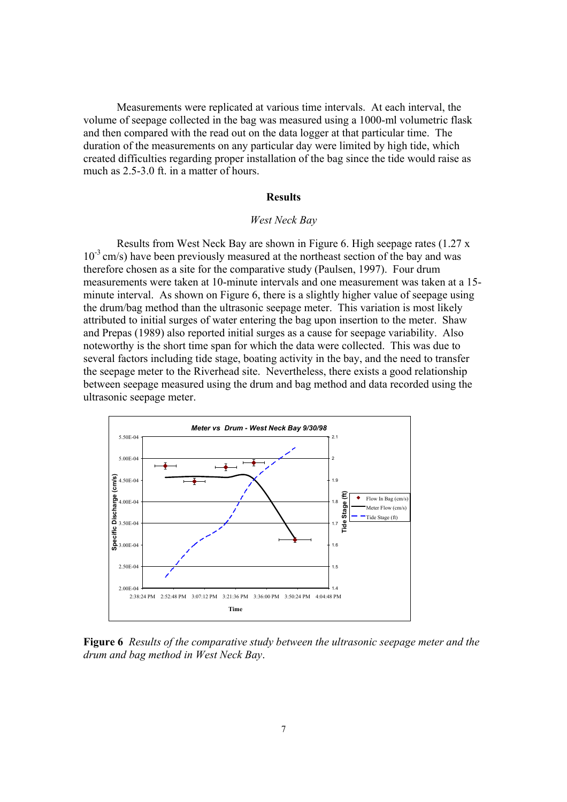Measurements were replicated at various time intervals. At each interval, the volume of seepage collected in the bag was measured using a 1000-ml volumetric flask and then compared with the read out on the data logger at that particular time. The duration of the measurements on any particular day were limited by high tide, which created difficulties regarding proper installation of the bag since the tide would raise as much as 2.5-3.0 ft. in a matter of hours.

#### **Results**

#### *West Neck Bay*

 Results from West Neck Bay are shown in Figure 6. High seepage rates (1.27 x  $10^{-3}$  cm/s) have been previously measured at the northeast section of the bay and was therefore chosen as a site for the comparative study (Paulsen, 1997). Four drum measurements were taken at 10-minute intervals and one measurement was taken at a 15 minute interval. As shown on Figure 6, there is a slightly higher value of seepage using the drum/bag method than the ultrasonic seepage meter. This variation is most likely attributed to initial surges of water entering the bag upon insertion to the meter. Shaw and Prepas (1989) also reported initial surges as a cause for seepage variability. Also noteworthy is the short time span for which the data were collected. This was due to several factors including tide stage, boating activity in the bay, and the need to transfer the seepage meter to the Riverhead site. Nevertheless, there exists a good relationship between seepage measured using the drum and bag method and data recorded using the ultrasonic seepage meter.



**Figure 6** *Results of the comparative study between the ultrasonic seepage meter and the drum and bag method in West Neck Bay*.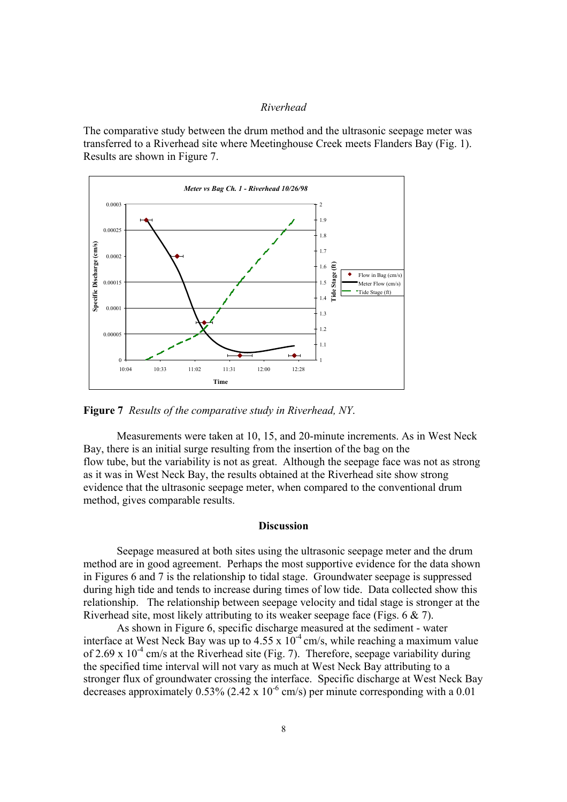#### *Riverhead*

The comparative study between the drum method and the ultrasonic seepage meter was transferred to a Riverhead site where Meetinghouse Creek meets Flanders Bay (Fig. 1). Results are shown in Figure 7.



**Figure 7** *Results of the comparative study in Riverhead, NY*.

Measurements were taken at 10, 15, and 20-minute increments. As in West Neck Bay, there is an initial surge resulting from the insertion of the bag on the flow tube, but the variability is not as great. Although the seepage face was not as strong as it was in West Neck Bay, the results obtained at the Riverhead site show strong evidence that the ultrasonic seepage meter, when compared to the conventional drum method, gives comparable results.

### **Discussion**

 Seepage measured at both sites using the ultrasonic seepage meter and the drum method are in good agreement. Perhaps the most supportive evidence for the data shown in Figures 6 and 7 is the relationship to tidal stage. Groundwater seepage is suppressed during high tide and tends to increase during times of low tide. Data collected show this relationship. The relationship between seepage velocity and tidal stage is stronger at the Riverhead site, most likely attributing to its weaker seepage face (Figs. 6 & 7).

As shown in Figure 6, specific discharge measured at the sediment - water interface at West Neck Bay was up to  $4.55 \times 10^{-4}$  cm/s, while reaching a maximum value of 2.69 x  $10^{-4}$  cm/s at the Riverhead site (Fig. 7). Therefore, seepage variability during the specified time interval will not vary as much at West Neck Bay attributing to a stronger flux of groundwater crossing the interface. Specific discharge at West Neck Bay decreases approximately  $0.53\%$  (2.42 x 10<sup>-6</sup> cm/s) per minute corresponding with a 0.01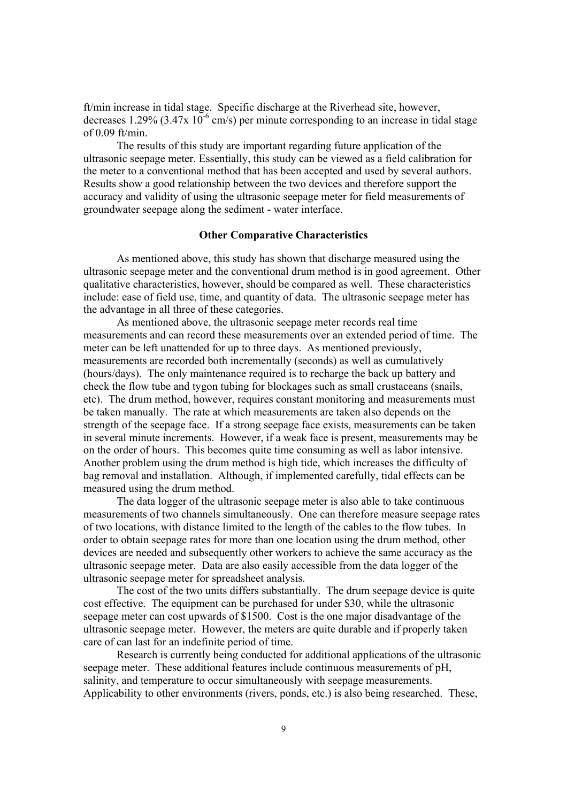ft/min increase in tidal stage. Specific discharge at the Riverhead site, however, decreases 1.29% (3.47x  $10^{-6}$  cm/s) per minute corresponding to an increase in tidal stage of 0.09 ft/min.

The results of this study are important regarding future application of the ultrasonic seepage meter. Essentially, this study can be viewed as a field calibration for the meter to a conventional method that has been accepted and used by several authors. Results show a good relationship between the two devices and therefore support the accuracy and validity of using the ultrasonic seepage meter for field measurements of groundwater seepage along the sediment - water interface.

# **Other Comparative Characteristics**

 As mentioned above, this study has shown that discharge measured using the ultrasonic seepage meter and the conventional drum method is in good agreement. Other qualitative characteristics, however, should be compared as well. These characteristics include: ease of field use, time, and quantity of data. The ultrasonic seepage meter has the advantage in all three of these categories.

 As mentioned above, the ultrasonic seepage meter records real time measurements and can record these measurements over an extended period of time. The meter can be left unattended for up to three days. As mentioned previously, measurements are recorded both incrementally (seconds) as well as cumulatively (hours/days). The only maintenance required is to recharge the back up battery and check the flow tube and tygon tubing for blockages such as small crustaceans (snails, etc). The drum method, however, requires constant monitoring and measurements must be taken manually. The rate at which measurements are taken also depends on the strength of the seepage face. If a strong seepage face exists, measurements can be taken in several minute increments. However, if a weak face is present, measurements may be on the order of hours. This becomes quite time consuming as well as labor intensive. Another problem using the drum method is high tide, which increases the difficulty of bag removal and installation. Although, if implemented carefully, tidal effects can be measured using the drum method.

 The data logger of the ultrasonic seepage meter is also able to take continuous measurements of two channels simultaneously. One can therefore measure seepage rates of two locations, with distance limited to the length of the cables to the flow tubes. In order to obtain seepage rates for more than one location using the drum method, other devices are needed and subsequently other workers to achieve the same accuracy as the ultrasonic seepage meter. Data are also easily accessible from the data logger of the ultrasonic seepage meter for spreadsheet analysis.

 The cost of the two units differs substantially. The drum seepage device is quite cost effective. The equipment can be purchased for under \$30, while the ultrasonic seepage meter can cost upwards of \$1500. Cost is the one major disadvantage of the ultrasonic seepage meter. However, the meters are quite durable and if properly taken care of can last for an indefinite period of time.

 Research is currently being conducted for additional applications of the ultrasonic seepage meter. These additional features include continuous measurements of pH, salinity, and temperature to occur simultaneously with seepage measurements. Applicability to other environments (rivers, ponds, etc.) is also being researched. These,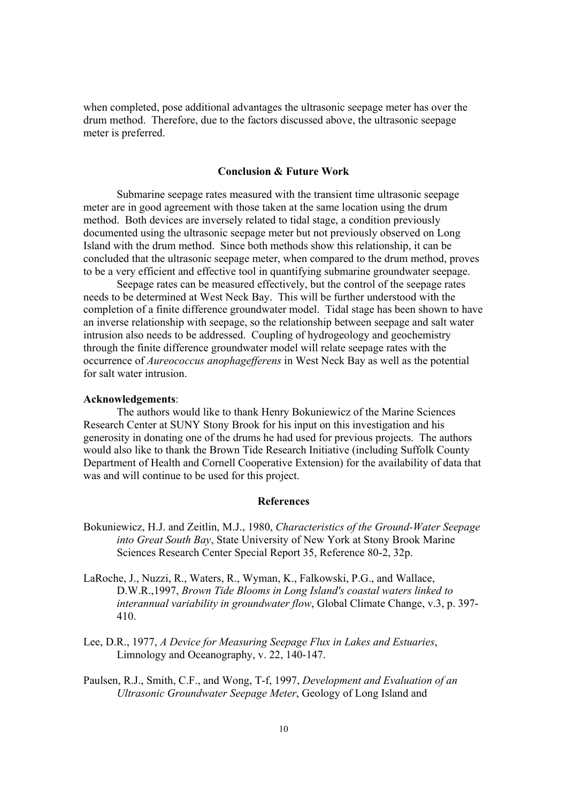when completed, pose additional advantages the ultrasonic seepage meter has over the drum method. Therefore, due to the factors discussed above, the ultrasonic seepage meter is preferred.

### **Conclusion & Future Work**

 Submarine seepage rates measured with the transient time ultrasonic seepage meter are in good agreement with those taken at the same location using the drum method. Both devices are inversely related to tidal stage, a condition previously documented using the ultrasonic seepage meter but not previously observed on Long Island with the drum method. Since both methods show this relationship, it can be concluded that the ultrasonic seepage meter, when compared to the drum method, proves to be a very efficient and effective tool in quantifying submarine groundwater seepage.

 Seepage rates can be measured effectively, but the control of the seepage rates needs to be determined at West Neck Bay. This will be further understood with the completion of a finite difference groundwater model. Tidal stage has been shown to have an inverse relationship with seepage, so the relationship between seepage and salt water intrusion also needs to be addressed. Coupling of hydrogeology and geochemistry through the finite difference groundwater model will relate seepage rates with the occurrence of *Aureococcus anophagefferens* in West Neck Bay as well as the potential for salt water intrusion.

#### **Acknowledgements**:

 The authors would like to thank Henry Bokuniewicz of the Marine Sciences Research Center at SUNY Stony Brook for his input on this investigation and his generosity in donating one of the drums he had used for previous projects. The authors would also like to thank the Brown Tide Research Initiative (including Suffolk County Department of Health and Cornell Cooperative Extension) for the availability of data that was and will continue to be used for this project.

# **References**

- Bokuniewicz, H.J. and Zeitlin, M.J., 1980, *Characteristics of the Ground-Water Seepage into Great South Bay*, State University of New York at Stony Brook Marine Sciences Research Center Special Report 35, Reference 80-2, 32p.
- LaRoche, J., Nuzzi, R., Waters, R., Wyman, K., Falkowski, P.G., and Wallace, D.W.R.,1997, *Brown Tide Blooms in Long Island's coastal waters linked to interannual variability in groundwater flow*, Global Climate Change, v.3, p. 397- 410.
- Lee, D.R., 1977, *A Device for Measuring Seepage Flux in Lakes and Estuaries*, Limnology and Oceanography, v. 22, 140-147.
- Paulsen, R.J., Smith, C.F., and Wong, T-f, 1997, *Development and Evaluation of an Ultrasonic Groundwater Seepage Meter*, Geology of Long Island and